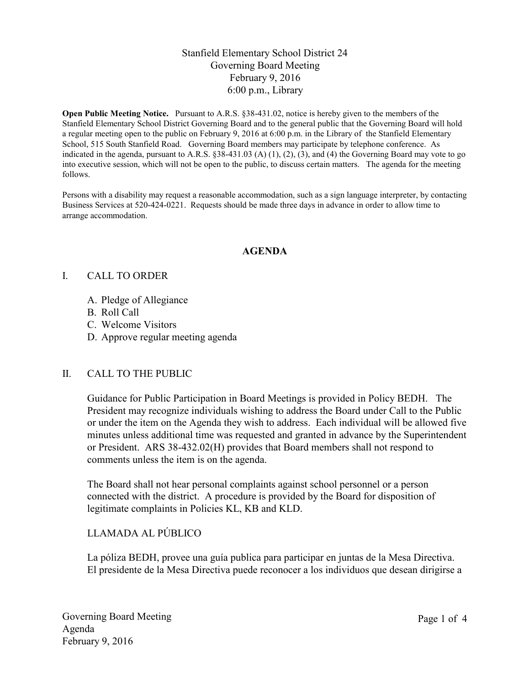## Stanfield Elementary School District 24 Governing Board Meeting February 9, 2016 6:00 p.m., Library

**Open Public Meeting Notice.** Pursuant to A.R.S. §38-431.02, notice is hereby given to the members of the Stanfield Elementary School District Governing Board and to the general public that the Governing Board will hold a regular meeting open to the public on February 9, 2016 at 6:00 p.m. in the Library of the Stanfield Elementary School, 515 South Stanfield Road. Governing Board members may participate by telephone conference. As indicated in the agenda, pursuant to A.R.S.  $\S 38-431.03$  (A) (1), (2), (3), and (4) the Governing Board may vote to go into executive session, which will not be open to the public, to discuss certain matters. The agenda for the meeting follows.

Persons with a disability may request a reasonable accommodation, such as a sign language interpreter, by contacting Business Services at 520-424-0221. Requests should be made three days in advance in order to allow time to arrange accommodation.

#### **AGENDA**

#### I. CALL TO ORDER

- A. Pledge of Allegiance
- B. Roll Call
- C. Welcome Visitors
- D. Approve regular meeting agenda

## II. CALL TO THE PUBLIC

Guidance for Public Participation in Board Meetings is provided in Policy BEDH. The President may recognize individuals wishing to address the Board under Call to the Public or under the item on the Agenda they wish to address. Each individual will be allowed five minutes unless additional time was requested and granted in advance by the Superintendent or President. ARS 38-432.02(H) provides that Board members shall not respond to comments unless the item is on the agenda.

The Board shall not hear personal complaints against school personnel or a person connected with the district. A procedure is provided by the Board for disposition of legitimate complaints in Policies KL, KB and KLD.

## LLAMADA AL PÚBLICO

La póliza BEDH, provee una guía publica para participar en juntas de la Mesa Directiva. El presidente de la Mesa Directiva puede reconocer a los individuos que desean dirigirse a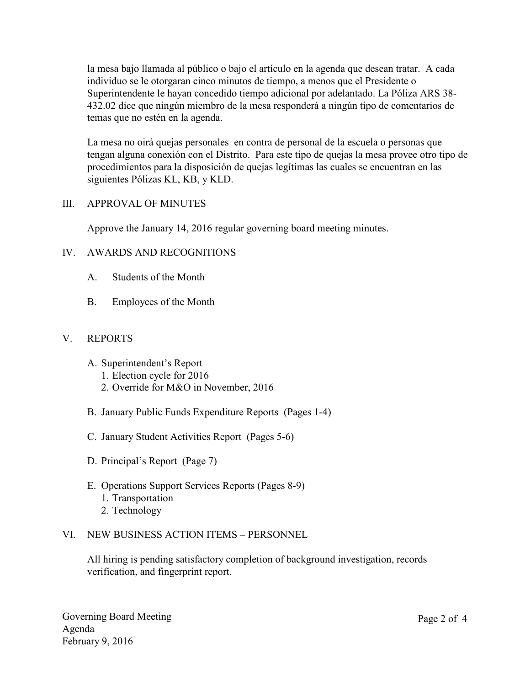la mesa bajo llamada al público o bajo el artículo en la agenda que desean tratar. A cada individuo se le otorgaran cinco minutos de tiempo, a menos que el Presidente o Superintendente le hayan concedido tiempo adicional por adelantado. La Póliza ARS 38- 432.02 dice que ningún miembro de la mesa responderá a ningún tipo de comentarios de temas que no estén en la agenda.

La mesa no oirá quejas personales en contra de personal de la escuela o personas que tengan alguna conexión con el Distrito. Para este tipo de quejas la mesa provee otro tipo de procedimientos para la disposición de quejas legítimas las cuales se encuentran en las siguientes Pólizas KL, KB, y KLD.

#### III. APPROVAL OF MINUTES

Approve the January 14, 2016 regular governing board meeting minutes.

## IV. AWARDS AND RECOGNITIONS

- A. Students of the Month
- B. Employees of the Month

## V. REPORTS

- A. Superintendent's Report
	- 1. Election cycle for 2016
	- 2. Override for M&O in November, 2016
- B. January Public Funds Expenditure Reports (Pages 1-4)
- C. January Student Activities Report (Pages 5-6)
- D. Principal's Report (Page 7)
- E. Operations Support Services Reports (Pages 8-9) 1. Transportation 2. Technology

## VI. NEW BUSINESS ACTION ITEMS – PERSONNEL

All hiring is pending satisfactory completion of background investigation, records verification, and fingerprint report.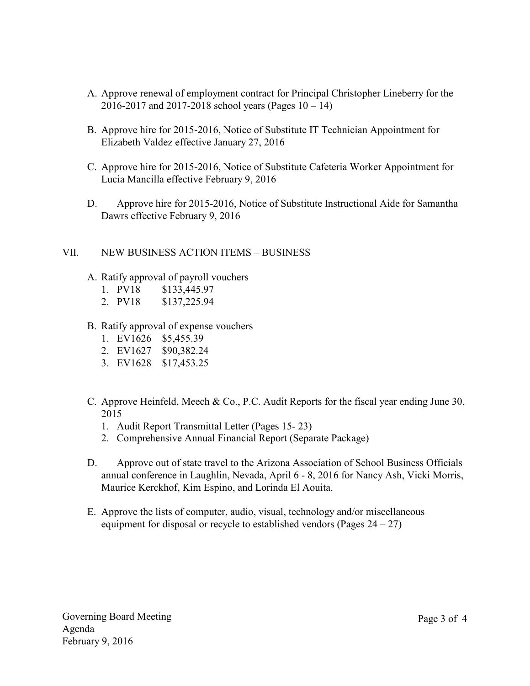- A. Approve renewal of employment contract for Principal Christopher Lineberry for the 2016-2017 and 2017-2018 school years (Pages  $10 - 14$ )
- B. Approve hire for 2015-2016, Notice of Substitute IT Technician Appointment for Elizabeth Valdez effective January 27, 2016
- C. Approve hire for 2015-2016, Notice of Substitute Cafeteria Worker Appointment for Lucia Mancilla effective February 9, 2016
- D. Approve hire for 2015-2016, Notice of Substitute Instructional Aide for Samantha Dawrs effective February 9, 2016

## VII. NEW BUSINESS ACTION ITEMS – BUSINESS

- A. Ratify approval of payroll vouchers
	- 1. PV18 \$133,445.97
	- 2. PV18 \$137,225.94
- B. Ratify approval of expense vouchers
	- 1. EV1626 \$5,455.39
	- 2. EV1627 \$90,382.24
	- 3. EV1628 \$17,453.25
- C. Approve Heinfeld, Meech & Co., P.C. Audit Reports for the fiscal year ending June 30, 2015
	- 1. Audit Report Transmittal Letter (Pages 15- 23)
	- 2. Comprehensive Annual Financial Report (Separate Package)
- D. Approve out of state travel to the Arizona Association of School Business Officials annual conference in Laughlin, Nevada, April 6 - 8, 2016 for Nancy Ash, Vicki Morris, Maurice Kerckhof, Kim Espino, and Lorinda El Aouita.
- E. Approve the lists of computer, audio, visual, technology and/or miscellaneous equipment for disposal or recycle to established vendors (Pages  $24 - 27$ )